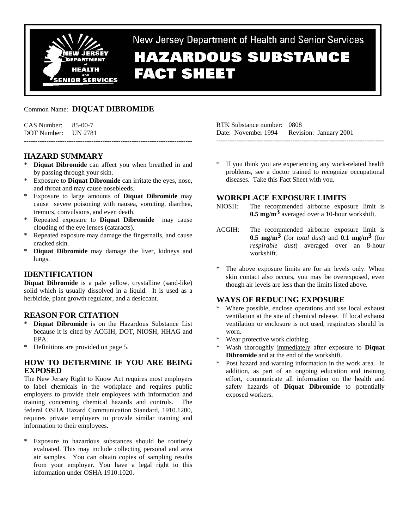

New Jersey Department of Health and Senior Services

# **HAZARDOUS SUBSTANCE FACT SHEET**

# Common Name: **DIQUAT DIBROMIDE**

| $CAS$ Number: $85-00-7$<br>DOT Number: UN 2781 |  |
|------------------------------------------------|--|
|                                                |  |

## **HAZARD SUMMARY**

- Diquat Dibromide can affect you when breathed in and by passing through your skin.
- Exposure to **Diquat Dibromide** can irritate the eyes, nose, and throat and may cause nosebleeds.
- \* Exposure to large amounts of **Diquat Dibromide** may cause severe poisoning with nausea, vomiting, diarrhea, tremors, convulsions, and even death.
- \* Repeated exposure to **Diquat Dibromide** may cause clouding of the eye lenses (cataracts).
- Repeated exposure may damage the fingernails, and cause cracked skin.
- \* **Diquat Dibromide** may damage the liver, kidneys and lungs.

# **IDENTIFICATION**

**Diquat Dibromide** is a pale yellow, crystalline (sand-like) solid which is usually dissolved in a liquid. It is used as a herbicide, plant growth regulator, and a desiccant.

## **REASON FOR CITATION**

- Diquat Dibromide is on the Hazardous Substance List because it is cited by ACGIH, DOT, NIOSH, HHAG and EPA.
- \* Definitions are provided on page 5.

## **HOW TO DETERMINE IF YOU ARE BEING EXPOSED**

The New Jersey Right to Know Act requires most employers to label chemicals in the workplace and requires public employers to provide their employees with information and training concerning chemical hazards and controls. The federal OSHA Hazard Communication Standard, 1910.1200, requires private employers to provide similar training and information to their employees.

Exposure to hazardous substances should be routinely evaluated. This may include collecting personal and area air samples. You can obtain copies of sampling results from your employer. You have a legal right to this information under OSHA 1910.1020.

RTK Substance number: 0808 Date: November 1994 Revision: January 2001 ---------------------------------------------------------------------------

\* If you think you are experiencing any work-related health problems, see a doctor trained to recognize occupational diseases. Take this Fact Sheet with you.

# **WORKPLACE EXPOSURE LIMITS**

- NIOSH: The recommended airborne exposure limit is **0.5 mg**/**m3** averaged over a 10-hour workshift.
- ACGIH: The recommended airborne exposure limit is **0.5 mg/m<sup>3</sup> (for** *total dust***) and <b>0.1 mg/m<sup>3</sup> (for** *respirable dust*) averaged over an 8-hour workshift.
- The above exposure limits are for air levels only. When skin contact also occurs, you may be overexposed, even though air levels are less than the limits listed above.

## **WAYS OF REDUCING EXPOSURE**

- Where possible, enclose operations and use local exhaust ventilation at the site of chemical release. If local exhaust ventilation or enclosure is not used, respirators should be worn.
- Wear protective work clothing.
- Wash thoroughly immediately after exposure to **Diquat Dibromide** and at the end of the workshift.
- \* Post hazard and warning information in the work area. In addition, as part of an ongoing education and training effort, communicate all information on the health and safety hazards of **Diquat Dibromide** to potentially exposed workers.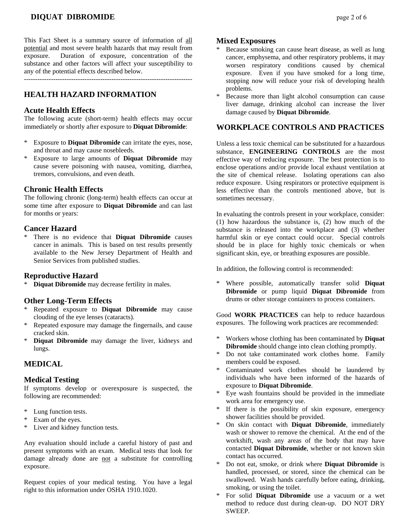# **DIQUAT DIBROMIDE page 2 of 6**

This Fact Sheet is a summary source of information of all potential and most severe health hazards that may result from exposure. Duration of exposure, concentration of the substance and other factors will affect your susceptibility to any of the potential effects described below.

---------------------------------------------------------------------------

## **HEALTH HAZARD INFORMATION**

#### **Acute Health Effects**

The following acute (short-term) health effects may occur immediately or shortly after exposure to **Diquat Dibromide**:

- \* Exposure to **Diquat Dibromide** can irritate the eyes, nose, and throat and may cause nosebleeds.
- \* Exposure to large amounts of **Diquat Dibromide** may cause severe poisoning with nausea, vomiting, diarrhea, tremors, convulsions, and even death.

## **Chronic Health Effects**

The following chronic (long-term) health effects can occur at some time after exposure to **Diquat Dibromide** and can last for months or years:

## **Cancer Hazard**

There is no evidence that **Diquat Dibromide** causes cancer in animals. This is based on test results presently available to the New Jersey Department of Health and Senior Services from published studies.

#### **Reproductive Hazard**

\* **Diquat Dibromide** may decrease fertility in males.

## **Other Long-Term Effects**

- Repeated exposure to **Diquat Dibromide** may cause clouding of the eye lenses (cataracts).
- Repeated exposure may damage the fingernails, and cause cracked skin.
- \* **Diquat Dibromide** may damage the liver, kidneys and lungs.

## **MEDICAL**

#### **Medical Testing**

If symptoms develop or overexposure is suspected, the following are recommended:

- \* Lung function tests.
- \* Exam of the eyes.
- \* Liver and kidney function tests.

Any evaluation should include a careful history of past and present symptoms with an exam. Medical tests that look for damage already done are not a substitute for controlling exposure.

Request copies of your medical testing. You have a legal right to this information under OSHA 1910.1020.

#### **Mixed Exposures**

- Because smoking can cause heart disease, as well as lung cancer, emphysema, and other respiratory problems, it may worsen respiratory conditions caused by chemical exposure. Even if you have smoked for a long time, stopping now will reduce your risk of developing health problems.
- \* Because more than light alcohol consumption can cause liver damage, drinking alcohol can increase the liver damage caused by **Diquat Dibromide**.

## **WORKPLACE CONTROLS AND PRACTICES**

Unless a less toxic chemical can be substituted for a hazardous substance, **ENGINEERING CONTROLS** are the most effective way of reducing exposure. The best protection is to enclose operations and/or provide local exhaust ventilation at the site of chemical release. Isolating operations can also reduce exposure. Using respirators or protective equipment is less effective than the controls mentioned above, but is sometimes necessary.

In evaluating the controls present in your workplace, consider: (1) how hazardous the substance is, (2) how much of the substance is released into the workplace and (3) whether harmful skin or eye contact could occur. Special controls should be in place for highly toxic chemicals or when significant skin, eye, or breathing exposures are possible.

In addition, the following control is recommended:

\* Where possible, automatically transfer solid **Diquat Dibromide** or pump liquid **Diquat Dibromide** from drums or other storage containers to process containers.

Good **WORK PRACTICES** can help to reduce hazardous exposures. The following work practices are recommended:

- \* Workers whose clothing has been contaminated by **Diquat Dibromide** should change into clean clothing promptly.
- \* Do not take contaminated work clothes home. Family members could be exposed.
- Contaminated work clothes should be laundered by individuals who have been informed of the hazards of exposure to **Diquat Dibromide**.
- Eye wash fountains should be provided in the immediate work area for emergency use.
- If there is the possibility of skin exposure, emergency shower facilities should be provided.
- \* On skin contact with **Diquat Dibromide**, immediately wash or shower to remove the chemical. At the end of the workshift, wash any areas of the body that may have contacted **Diquat Dibromide**, whether or not known skin contact has occurred.
- \* Do not eat, smoke, or drink where **Diquat Dibromide** is handled, processed, or stored, since the chemical can be swallowed. Wash hands carefully before eating, drinking, smoking, or using the toilet.
- \* For solid **Diquat Dibromide** use a vacuum or a wet method to reduce dust during clean-up. DO NOT DRY SWEEP.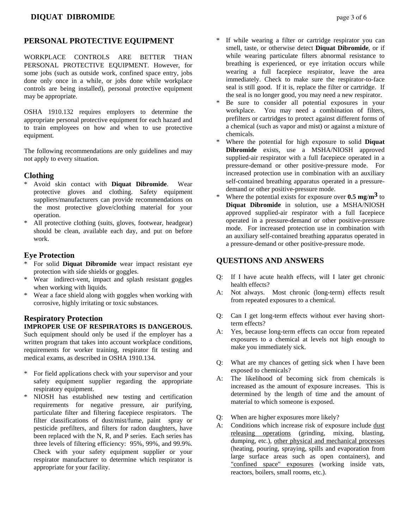# **PERSONAL PROTECTIVE EQUIPMENT**

WORKPLACE CONTROLS ARE BETTER THAN PERSONAL PROTECTIVE EQUIPMENT. However, for some jobs (such as outside work, confined space entry, jobs done only once in a while, or jobs done while workplace controls are being installed), personal protective equipment may be appropriate.

OSHA 1910.132 requires employers to determine the appropriate personal protective equipment for each hazard and to train employees on how and when to use protective equipment.

The following recommendations are only guidelines and may not apply to every situation.

## **Clothing**

- \* Avoid skin contact with **Diquat Dibromide**. Wear protective gloves and clothing. Safety equipment suppliers/manufacturers can provide recommendations on the most protective glove/clothing material for your operation.
- \* All protective clothing (suits, gloves, footwear, headgear) should be clean, available each day, and put on before work.

## **Eye Protection**

- \* For solid **Diquat Dibromide** wear impact resistant eye protection with side shields or goggles.
- \* Wear indirect-vent, impact and splash resistant goggles when working with liquids.
- Wear a face shield along with goggles when working with corrosive, highly irritating or toxic substances.

## **Respiratory Protection IMPROPER USE OF RESPIRATORS IS DANGEROUS.**

Such equipment should only be used if the employer has a written program that takes into account workplace conditions, requirements for worker training, respirator fit testing and medical exams, as described in OSHA 1910.134.

- For field applications check with your supervisor and your safety equipment supplier regarding the appropriate respiratory equipment.
- \* NIOSH has established new testing and certification requirements for negative pressure, air purifying, particulate filter and filtering facepiece respirators. The filter classifications of dust/mist/fume, paint spray or pesticide prefilters, and filters for radon daughters, have been replaced with the N, R, and P series. Each series has three levels of filtering efficiency: 95%, 99%, and 99.9%. Check with your safety equipment supplier or your respirator manufacturer to determine which respirator is appropriate for your facility.
- If while wearing a filter or cartridge respirator you can smell, taste, or otherwise detect **Diquat Dibromide**, or if while wearing particulate filters abnormal resistance to breathing is experienced, or eye irritation occurs while wearing a full facepiece respirator, leave the area immediately. Check to make sure the respirator-to-face seal is still good. If it is, replace the filter or cartridge. If the seal is no longer good, you may need a new respirator.
- \* Be sure to consider all potential exposures in your workplace. You may need a combination of filters, prefilters or cartridges to protect against different forms of a chemical (such as vapor and mist) or against a mixture of chemicals.
- Where the potential for high exposure to solid **Diquat Dibromide** exists, use a MSHA/NIOSH approved supplied-air respirator with a full facepiece operated in a pressure-demand or other positive-pressure mode. For increased protection use in combination with an auxiliary self-contained breathing apparatus operated in a pressuredemand or other positive-pressure mode.
- Where the potential exists for exposure over  $0.5$  mg/ $m<sup>3</sup>$  to **Diquat Dibromide** in solution, use a MSHA/NIOSH approved supplied-air respirator with a full facepiece operated in a pressure-demand or other positive-pressure mode. For increased protection use in combination with an auxiliary self-contained breathing apparatus operated in a pressure-demand or other positive-pressure mode.

# **QUESTIONS AND ANSWERS**

- Q: If I have acute health effects, will I later get chronic health effects?
- A: Not always. Most chronic (long-term) effects result from repeated exposures to a chemical.
- Q: Can I get long-term effects without ever having shortterm effects?
- A: Yes, because long-term effects can occur from repeated exposures to a chemical at levels not high enough to make you immediately sick.
- Q: What are my chances of getting sick when I have been exposed to chemicals?
- A: The likelihood of becoming sick from chemicals is increased as the amount of exposure increases. This is determined by the length of time and the amount of material to which someone is exposed.
- Q: When are higher exposures more likely?
- A: Conditions which increase risk of exposure include dust releasing operations (grinding, mixing, blasting, dumping, etc.), other physical and mechanical processes (heating, pouring, spraying, spills and evaporation from large surface areas such as open containers), and "confined space" exposures (working inside vats, reactors, boilers, small rooms, etc.).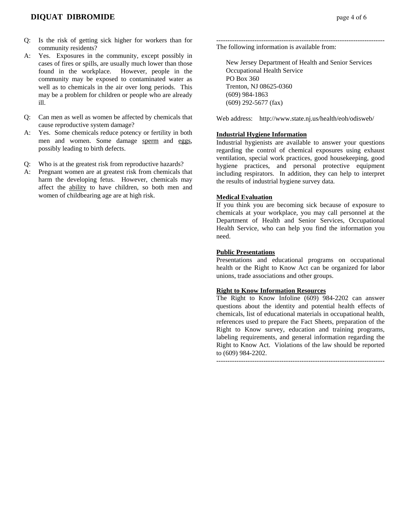- Q: Is the risk of getting sick higher for workers than for community residents?
- A: Yes. Exposures in the community, except possibly in cases of fires or spills, are usually much lower than those found in the workplace. However, people in the community may be exposed to contaminated water as well as to chemicals in the air over long periods. This may be a problem for children or people who are already ill.
- Q: Can men as well as women be affected by chemicals that cause reproductive system damage?
- A: Yes. Some chemicals reduce potency or fertility in both men and women. Some damage sperm and eggs, possibly leading to birth defects.
- Q: Who is at the greatest risk from reproductive hazards?
- A: Pregnant women are at greatest risk from chemicals that harm the developing fetus. However, chemicals may affect the ability to have children, so both men and women of childbearing age are at high risk.

--------------------------------------------------------------------------- The following information is available from:

 New Jersey Department of Health and Senior Services Occupational Health Service PO Box 360 Trenton, NJ 08625-0360 (609) 984-1863 (609) 292-5677 (fax)

Web address: http://www.state.nj.us/health/eoh/odisweb/

#### **Industrial Hygiene Information**

Industrial hygienists are available to answer your questions regarding the control of chemical exposures using exhaust ventilation, special work practices, good housekeeping, good hygiene practices, and personal protective equipment including respirators. In addition, they can help to interpret the results of industrial hygiene survey data.

#### **Medical Evaluation**

If you think you are becoming sick because of exposure to chemicals at your workplace, you may call personnel at the Department of Health and Senior Services, Occupational Health Service, who can help you find the information you need.

#### **Public Presentations**

Presentations and educational programs on occupational health or the Right to Know Act can be organized for labor unions, trade associations and other groups.

#### **Right to Know Information Resources**

The Right to Know Infoline (609) 984-2202 can answer questions about the identity and potential health effects of chemicals, list of educational materials in occupational health, references used to prepare the Fact Sheets, preparation of the Right to Know survey, education and training programs, labeling requirements, and general information regarding the Right to Know Act. Violations of the law should be reported to (609) 984-2202.

---------------------------------------------------------------------------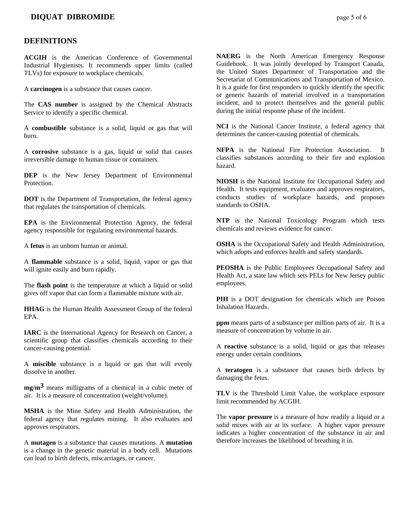## **DIQUAT DIBROMIDE page 5 of 6**

#### **DEFINITIONS**

**ACGIH** is the American Conference of Governmental Industrial Hygienists. It recommends upper limits (called TLVs) for exposure to workplace chemicals.

A **carcinogen** is a substance that causes cancer.

The **CAS number** is assigned by the Chemical Abstracts Service to identify a specific chemical.

A **combustible** substance is a solid, liquid or gas that will burn.

A **corrosive** substance is a gas, liquid or solid that causes irreversible damage to human tissue or containers.

**DEP** is the New Jersey Department of Environmental Protection.

**DOT** is the Department of Transportation, the federal agency that regulates the transportation of chemicals.

**EPA** is the Environmental Protection Agency, the federal agency responsible for regulating environmental hazards.

A **fetus** is an unborn human or animal.

A **flammable** substance is a solid, liquid, vapor or gas that will ignite easily and burn rapidly.

The **flash point** is the temperature at which a liquid or solid gives off vapor that can form a flammable mixture with air.

**HHAG** is the Human Health Assessment Group of the federal EPA.

**IARC** is the International Agency for Research on Cancer, a scientific group that classifies chemicals according to their cancer-causing potential.

A **miscible** substance is a liquid or gas that will evenly dissolve in another.

**mg/m3** means milligrams of a chemical in a cubic meter of air. It is a measure of concentration (weight/volume).

**MSHA** is the Mine Safety and Health Administration, the federal agency that regulates mining. It also evaluates and approves respirators.

A **mutagen** is a substance that causes mutations. A **mutation** is a change in the genetic material in a body cell. Mutations can lead to birth defects, miscarriages, or cancer.

**NAERG** is the North American Emergency Response Guidebook. It was jointly developed by Transport Canada, the United States Department of Transportation and the Secretariat of Communications and Transportation of Mexico. It is a guide for first responders to quickly identify the specific or generic hazards of material involved in a transportation incident, and to protect themselves and the general public during the initial response phase of the incident.

**NCI** is the National Cancer Institute, a federal agency that determines the cancer-causing potential of chemicals.

**NFPA** is the National Fire Protection Association. It classifies substances according to their fire and explosion hazard.

**NIOSH** is the National Institute for Occupational Safety and Health. It tests equipment, evaluates and approves respirators, conducts studies of workplace hazards, and proposes standards to OSHA.

**NTP** is the National Toxicology Program which tests chemicals and reviews evidence for cancer.

**OSHA** is the Occupational Safety and Health Administration, which adopts and enforces health and safety standards.

**PEOSHA** is the Public Employees Occupational Safety and Health Act, a state law which sets PELs for New Jersey public employees.

**PIH** is a DOT designation for chemicals which are Poison Inhalation Hazards.

**ppm** means parts of a substance per million parts of air. It is a measure of concentration by volume in air.

A **reactive** substance is a solid, liquid or gas that releases energy under certain conditions.

A **teratogen** is a substance that causes birth defects by damaging the fetus.

**TLV** is the Threshold Limit Value, the workplace exposure limit recommended by ACGIH.

The **vapor pressure** is a measure of how readily a liquid or a solid mixes with air at its surface. A higher vapor pressure indicates a higher concentration of the substance in air and therefore increases the likelihood of breathing it in.